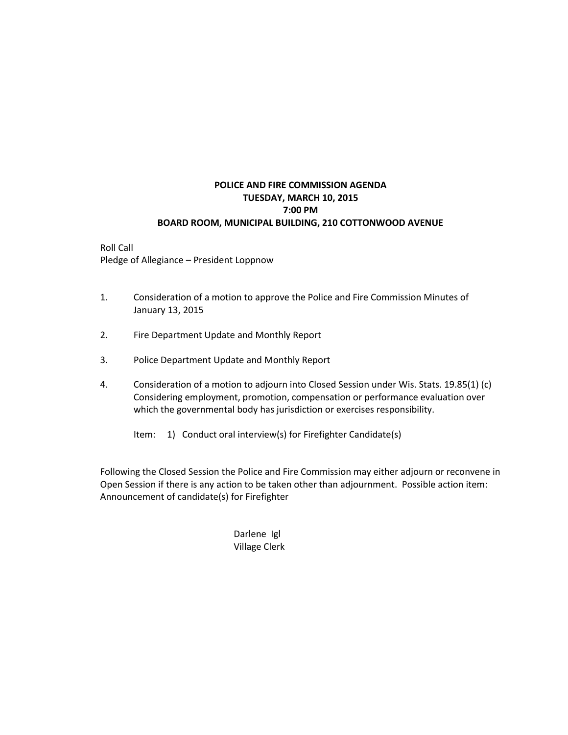### **POLICE AND FIRE COMMISSION AGENDA TUESDAY, MARCH 10, 2015 7:00 PM BOARD ROOM, MUNICIPAL BUILDING, 210 COTTONWOOD AVENUE**

Roll Call Pledge of Allegiance – President Loppnow

- 1. Consideration of a motion to approve the Police and Fire Commission Minutes of January 13, 2015
- 2. Fire Department Update and Monthly Report
- 3. Police Department Update and Monthly Report
- 4. Consideration of a motion to adjourn into Closed Session under Wis. Stats. 19.85(1) (c) Considering employment, promotion, compensation or performance evaluation over which the governmental body has jurisdiction or exercises responsibility.
	- Item: 1) Conduct oral interview(s) for Firefighter Candidate(s)

Following the Closed Session the Police and Fire Commission may either adjourn or reconvene in Open Session if there is any action to be taken other than adjournment. Possible action item: Announcement of candidate(s) for Firefighter

### Darlene Igl Village Clerk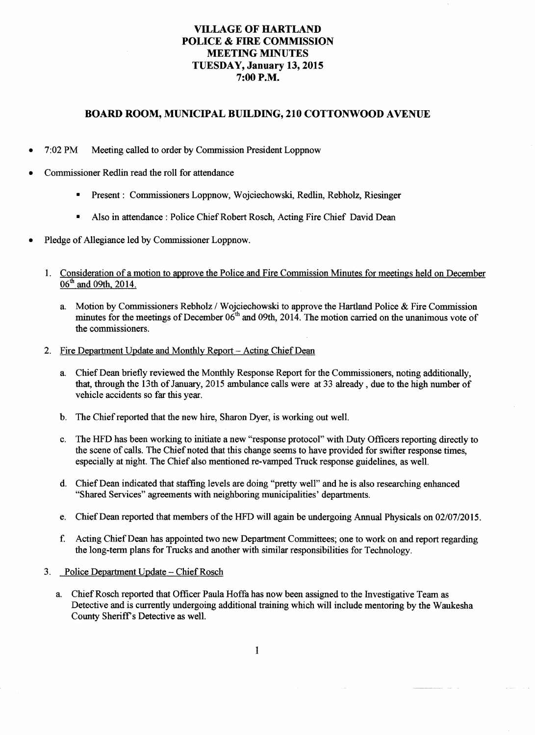## **VILLAGE OF HARTLAND POLICE & FIRE COMMISSION MEETING MINUTES** TUESDAY, January 13, 2015 7:00 P.M.

#### **BOARD ROOM, MUNICIPAL BUILDING, 210 COTTONWOOD AVENUE**

- $7:02$  PM Meeting called to order by Commission President Loppnow
- Commissioner Redlin read the roll for attendance
	- Present : Commissioners Loppnow, Wojciechowski, Redlin, Rebholz, Riesinger
	- Also in attendance : Police Chief Robert Rosch, Acting Fire Chief David Dean
- Pledge of Allegiance led by Commissioner Loppnow.
	- Consideration of a motion to approve the Police and Fire Commission Minutes for meetings held on December  $1.$ 06<sup>th</sup> and 09th, 2014.
		- Motion by Commissioners Rebholz / Woiciechowski to approve the Hartland Police & Fire Commission a. minutes for the meetings of December 06<sup>th</sup> and 09th, 2014. The motion carried on the unanimous vote of the commissioners.
	- $2.$ Fire Department Update and Monthly Report - Acting Chief Dean
		- Chief Dean briefly reviewed the Monthly Response Report for the Commissioners, noting additionally, a. that, through the 13th of January, 2015 ambulance calls were at 33 already, due to the high number of vehicle accidents so far this year.
		- The Chief reported that the new hire, Sharon Dver, is working out well.  $\mathbf{b}$ .
		- The HFD has been working to initiate a new "response protocol" with Duty Officers reporting directly to c. the scene of calls. The Chief noted that this change seems to have provided for swifter response times. especially at night. The Chief also mentioned re-vamped Truck response guidelines, as well.
		- Chief Dean indicated that staffing levels are doing "pretty well" and he is also researching enhanced  $\mathbf{d}$ . "Shared Services" agreements with neighboring municipalities' departments.
		- Chief Dean reported that members of the HFD will again be undergoing Annual Physicals on 02/07/2015. e.
		- $f_{\cdot}$ Acting Chief Dean has appointed two new Department Committees; one to work on and report regarding the long-term plans for Trucks and another with similar responsibilities for Technology.
	- Police Department Update Chief Rosch  $3<sub>1</sub>$ 
		- a. Chief Rosch reported that Officer Paula Hoffa has now been assigned to the Investigative Team as Detective and is currently undergoing additional training which will include mentoring by the Waukesha County Sheriff's Detective as well.

 $\mathbf{1}$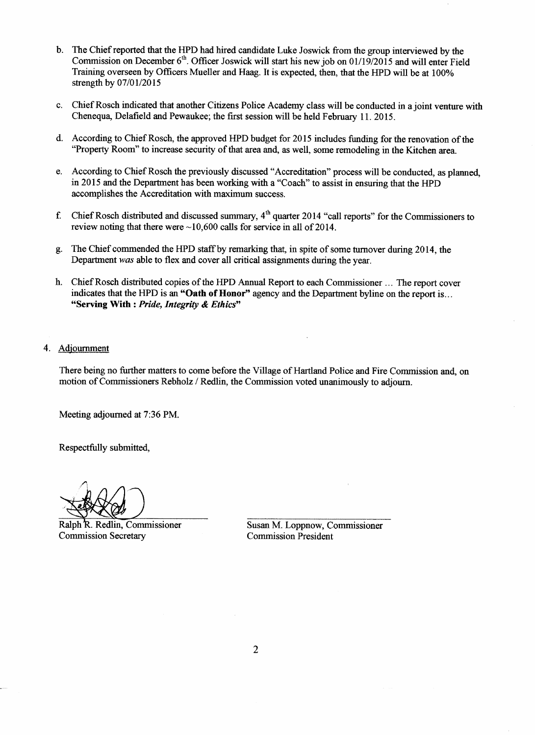- The Chief reported that the HPD had hired candidate Luke Joswick from the group interviewed by the  $h$ Commission on December 6<sup>th</sup>. Officer Joswick will start his new job on 01/19/2015 and will enter Field Training overseen by Officers Mueller and Haag. It is expected, then, that the HPD will be at 100% strength by 07/01/2015
- Chief Rosch indicated that another Citizens Police Academy class will be conducted in a joint venture with  $\mathbf{c}$ . Chenequa, Delafield and Pewaukee; the first session will be held February 11. 2015.
- d. According to Chief Rosch, the approved HPD budget for 2015 includes funding for the renovation of the "Property Room" to increase security of that area and, as well, some remodeling in the Kitchen area.
- e. According to Chief Rosch the previously discussed "Accreditation" process will be conducted, as planned, in 2015 and the Department has been working with a "Coach" to assist in ensuring that the HPD accomplishes the Accreditation with maximum success.
- Chief Rosch distributed and discussed summary, 4<sup>th</sup> quarter 2014 "call reports" for the Commissioners to f. review noting that there were  $\sim 10,600$  calls for service in all of 2014.
- The Chief commended the HPD staff by remarking that, in spite of some turnover during 2014, the g. Department was able to flex and cover all critical assignments during the year.
- h. Chief Rosch distributed copies of the HPD Annual Report to each Commissioner ... The report cover indicates that the HPD is an "Oath of Honor" agency and the Department byline on the report is... "Serving With : Pride, Integrity & Ethics"
- 4. Adjournment

There being no further matters to come before the Village of Hartland Police and Fire Commission and, on motion of Commissioners Rebholz / Redlin, the Commission voted unanimously to adjourn.

Meeting adjourned at 7:36 PM.

Respectfully submitted.

Ralph R. Redlin, Commissioner **Commission Secretary** 

Susan M. Loppnow, Commissioner **Commission President**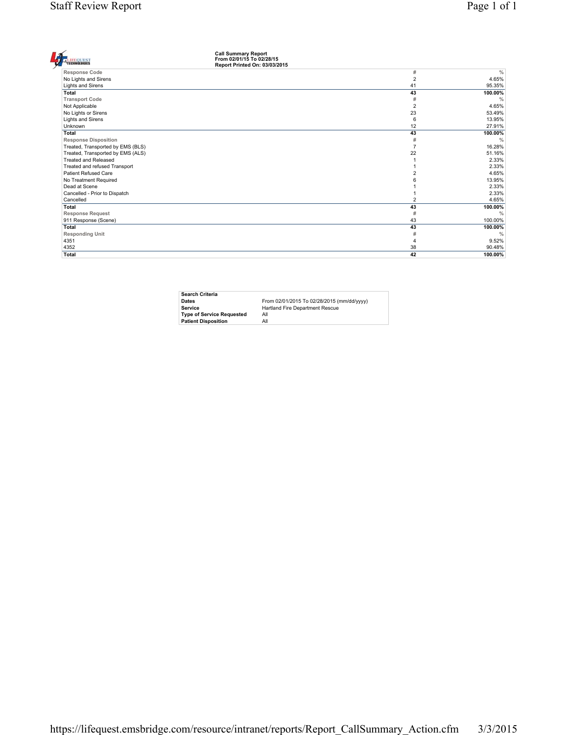| <b>Call Summary Report</b><br>From 02/01/15 To 02/28/15<br><b>EOUEST</b><br><b>ECHNOLOGIES</b><br>Report Printed On: 03/03/2015 |                |               |
|---------------------------------------------------------------------------------------------------------------------------------|----------------|---------------|
| <b>Response Code</b>                                                                                                            | #              | $\frac{0}{0}$ |
| No Lights and Sirens                                                                                                            | $\overline{2}$ | 4.65%         |
| Lights and Sirens                                                                                                               | 41             | 95.35%        |
| Total                                                                                                                           | 43             | 100.00%       |
| <b>Transport Code</b>                                                                                                           | #              | $\frac{0}{6}$ |
| Not Applicable                                                                                                                  | $\overline{2}$ | 4.65%         |
| No Lights or Sirens                                                                                                             | 23             | 53.49%        |
| Lights and Sirens                                                                                                               | 6              | 13.95%        |
| Unknown                                                                                                                         | 12             | 27.91%        |
| Total                                                                                                                           | 43             | 100.00%       |
| <b>Response Disposition</b>                                                                                                     | #              | $\frac{0}{0}$ |
| Treated, Transported by EMS (BLS)                                                                                               | 7              | 16.28%        |
| Treated, Transported by EMS (ALS)                                                                                               | 22             | 51.16%        |
| <b>Treated and Released</b>                                                                                                     |                | 2.33%         |
| Treated and refused Transport                                                                                                   |                | 2.33%         |
| <b>Patient Refused Care</b>                                                                                                     |                | 4.65%         |
| No Treatment Required                                                                                                           |                | 13.95%        |
| Dead at Scene                                                                                                                   |                | 2.33%         |
| Cancelled - Prior to Dispatch                                                                                                   |                | 2.33%         |
| Cancelled                                                                                                                       | $\overline{2}$ | 4.65%         |
| Total                                                                                                                           | 43             | 100.00%       |
| <b>Response Request</b>                                                                                                         | #              | $\frac{0}{6}$ |
| 911 Response (Scene)                                                                                                            | 43             | 100.00%       |
| Total                                                                                                                           | 43             | 100.00%       |
| <b>Responding Unit</b>                                                                                                          | #              | $\frac{0}{6}$ |
| 4351                                                                                                                            | 4              | 9.52%         |
| 4352                                                                                                                            | 38             | 90.48%        |
| Total                                                                                                                           | 42             | 100.00%       |
|                                                                                                                                 |                |               |

| <b>Search Criteria</b>           |                                            |
|----------------------------------|--------------------------------------------|
| <b>Dates</b>                     | From 02/01/2015 To 02/28/2015 (mm/dd/yyyy) |
| Service                          | Hartland Fire Department Rescue            |
| <b>Type of Service Requested</b> | All                                        |
| <b>Patient Disposition</b>       | All                                        |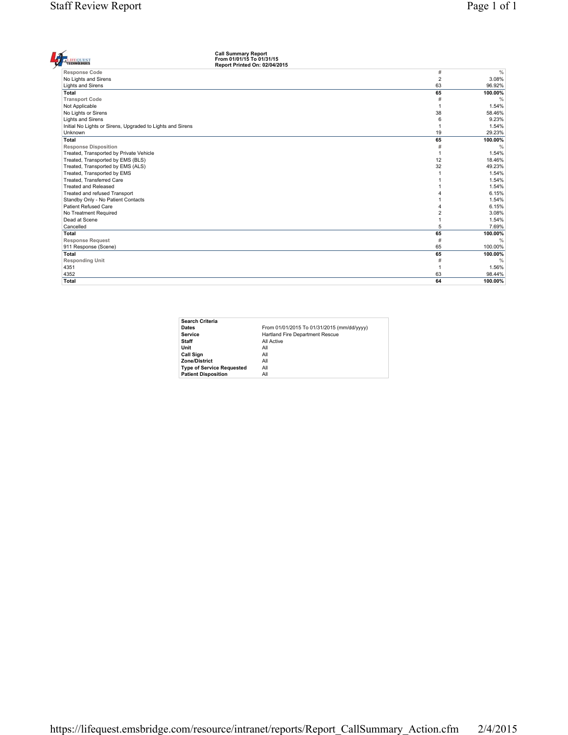| <b>Call Summary Report</b><br>From 01/01/15 To 01/31/15<br><b>TECHNOLOGIES</b><br>Report Printed On: 02/04/2015 |                |               |
|-----------------------------------------------------------------------------------------------------------------|----------------|---------------|
| <b>Response Code</b>                                                                                            | $\#$           | $\frac{0}{0}$ |
| No Lights and Sirens                                                                                            | $\overline{2}$ | 3.08%         |
| Lights and Sirens                                                                                               | 63             | 96.92%        |
| <b>Total</b>                                                                                                    | 65             | 100.00%       |
| <b>Transport Code</b>                                                                                           | #              | $\frac{0}{0}$ |
| Not Applicable                                                                                                  | -1             | 1.54%         |
| No Lights or Sirens                                                                                             | 38             | 58.46%        |
| Lights and Sirens                                                                                               | 6              | 9.23%         |
| Initial No Lights or Sirens, Upgraded to Lights and Sirens                                                      | $\overline{1}$ | 1.54%         |
| Unknown                                                                                                         | 19             | 29.23%        |
| <b>Total</b>                                                                                                    | 65             | 100.00%       |
| <b>Response Disposition</b>                                                                                     | #              | $\frac{0}{0}$ |
| Treated, Transported by Private Vehicle                                                                         | $\overline{1}$ | 1.54%         |
| Treated, Transported by EMS (BLS)                                                                               | 12             | 18.46%        |
| Treated, Transported by EMS (ALS)                                                                               | 32             | 49.23%        |
| Treated, Transported by EMS                                                                                     |                | 1.54%         |
| Treated. Transferred Care                                                                                       |                | 1.54%         |
| Treated and Released                                                                                            |                | 1.54%         |
| Treated and refused Transport                                                                                   |                | 6.15%         |
| Standby Only - No Patient Contacts                                                                              |                | 1.54%         |
| Patient Refused Care                                                                                            |                | 6.15%         |
| No Treatment Required                                                                                           |                | 3.08%         |
| Dead at Scene                                                                                                   |                | 1.54%         |
| Cancelled                                                                                                       | 5              | 7.69%         |
| Total                                                                                                           | 65             | 100.00%       |
| <b>Response Request</b>                                                                                         | #              | $\frac{0}{0}$ |
| 911 Response (Scene)                                                                                            | 65             | 100.00%       |
| Total                                                                                                           | 65             | 100.00%       |
| <b>Responding Unit</b>                                                                                          | #              | $\frac{0}{0}$ |
| 4351                                                                                                            |                | 1.56%         |
| 4352                                                                                                            | 63             | 98.44%        |
| <b>Total</b>                                                                                                    | 64             | 100.00%       |

| Search Criteria                  |                                            |
|----------------------------------|--------------------------------------------|
| Dates                            | From 01/01/2015 To 01/31/2015 (mm/dd/yyyy) |
| Service                          | Hartland Fire Department Rescue            |
| Staff                            | All Active                                 |
| Unit                             | All                                        |
| Call Sign                        | All                                        |
| Zone/District                    | All                                        |
| <b>Type of Service Requested</b> | All                                        |
| <b>Patient Disposition</b>       | All                                        |
|                                  |                                            |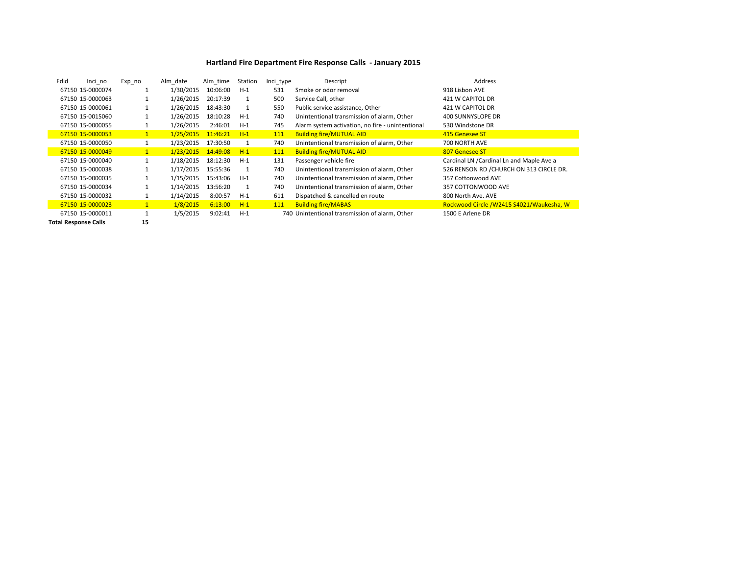#### **Hartland Fire Department Fire Response Calls - January 2015**

| Fdid | Inci no          | Exp no       | Alm date  | Alm time | Station | Inci_type | Descript                                         | Address                                    |
|------|------------------|--------------|-----------|----------|---------|-----------|--------------------------------------------------|--------------------------------------------|
|      | 67150 15-0000074 |              | 1/30/2015 | 10:06:00 | $H-1$   | 531       | Smoke or odor removal                            | 918 Lisbon AVE                             |
|      | 67150 15-0000063 |              | 1/26/2015 | 20:17:39 |         | 500       | Service Call, other                              | 421 W CAPITOL DR                           |
|      | 67150 15-0000061 |              | 1/26/2015 | 18:43:30 |         | 550       | Public service assistance, Other                 | 421 W CAPITOL DR                           |
|      | 67150 15-0015060 |              | 1/26/2015 | 18:10:28 | $H-1$   | 740       | Unintentional transmission of alarm, Other       | 400 SUNNYSLOPE DR                          |
|      | 67150 15-0000055 |              | 1/26/2015 | 2:46:01  | $H-1$   | 745       | Alarm system activation, no fire - unintentional | 530 Windstone DR                           |
|      | 67150 15-0000053 |              | 1/25/2015 | 11:46:21 | $H-1$   | 111       | <b>Building fire/MUTUAL AID</b>                  | 415 Genesee ST                             |
|      | 67150 15-0000050 | 1            | 1/23/2015 | 17:30:50 | 1       | 740       | Unintentional transmission of alarm, Other       | 700 NORTH AVE                              |
|      | 67150 15-0000049 | $\mathbf{1}$ | 1/23/2015 | 14:49:08 | $H-1$   | 111       | <b>Building fire/MUTUAL AID</b>                  | 807 Genesee ST                             |
|      | 67150 15-0000040 |              | 1/18/2015 | 18:12:30 | $H-1$   | 131       | Passenger vehicle fire                           | Cardinal LN / Cardinal Ln and Maple Ave a  |
|      | 67150 15-0000038 |              | 1/17/2015 | 15:55:36 |         | 740       | Unintentional transmission of alarm, Other       | 526 RENSON RD / CHURCH ON 313 CIRCLE DR.   |
|      | 67150 15-0000035 |              | 1/15/2015 | 15:43:06 | $H-1$   | 740       | Unintentional transmission of alarm. Other       | 357 Cottonwood AVE                         |
|      | 67150 15-0000034 |              | 1/14/2015 | 13:56:20 |         | 740       | Unintentional transmission of alarm, Other       | 357 COTTONWOOD AVE                         |
|      | 67150 15-0000032 |              | 1/14/2015 | 8:00:57  | $H-1$   | 611       | Dispatched & cancelled en route                  | 800 North Ave. AVE                         |
|      | 67150 15-0000023 |              | 1/8/2015  | 6:13:00  | $H-1$   | 111       | <b>Building fire/MABAS</b>                       | Rockwood Circle / W2415 S4021/ Waukesha, W |
|      | 67150 15-0000011 |              | 1/5/2015  | 9:02:41  | $H-1$   |           | 740 Unintentional transmission of alarm. Other   | 1500 E Arlene DR                           |

**Total Response Calls 15**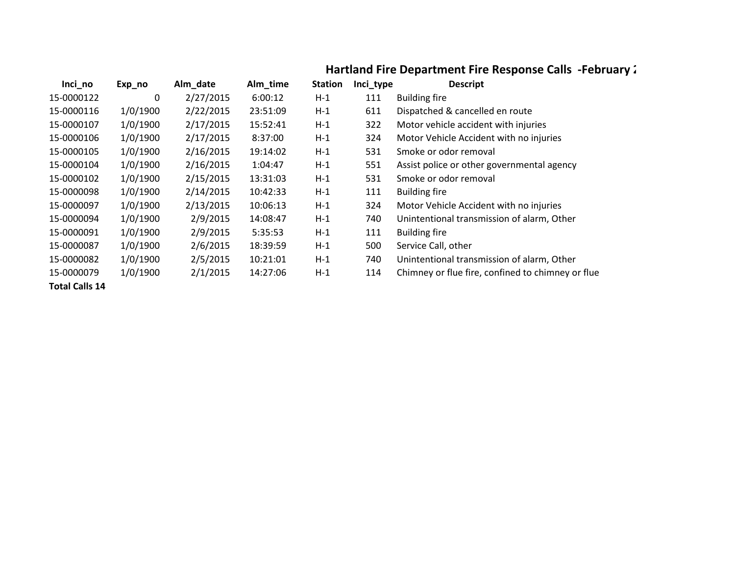# **Hartland Fire Department Fire Response Calls -February:**

| Inci_no               | Exp_no   | Alm_date  | Alm_time | <b>Station</b> | Inci_type | <b>Descript</b>                                   |
|-----------------------|----------|-----------|----------|----------------|-----------|---------------------------------------------------|
| 15-0000122            | 0        | 2/27/2015 | 6:00:12  | $H-1$          | 111       | <b>Building fire</b>                              |
| 15-0000116            | 1/0/1900 | 2/22/2015 | 23:51:09 | $H-1$          | 611       | Dispatched & cancelled en route                   |
| 15-0000107            | 1/0/1900 | 2/17/2015 | 15:52:41 | $H-1$          | 322       | Motor vehicle accident with injuries              |
| 15-0000106            | 1/0/1900 | 2/17/2015 | 8:37:00  | $H-1$          | 324       | Motor Vehicle Accident with no injuries           |
| 15-0000105            | 1/0/1900 | 2/16/2015 | 19:14:02 | $H-1$          | 531       | Smoke or odor removal                             |
| 15-0000104            | 1/0/1900 | 2/16/2015 | 1:04:47  | $H-1$          | 551       | Assist police or other governmental agency        |
| 15-0000102            | 1/0/1900 | 2/15/2015 | 13:31:03 | $H-1$          | 531       | Smoke or odor removal                             |
| 15-0000098            | 1/0/1900 | 2/14/2015 | 10:42:33 | $H-1$          | 111       | <b>Building fire</b>                              |
| 15-0000097            | 1/0/1900 | 2/13/2015 | 10:06:13 | $H-1$          | 324       | Motor Vehicle Accident with no injuries           |
| 15-0000094            | 1/0/1900 | 2/9/2015  | 14:08:47 | $H-1$          | 740       | Unintentional transmission of alarm, Other        |
| 15-0000091            | 1/0/1900 | 2/9/2015  | 5:35:53  | $H-1$          | 111       | <b>Building fire</b>                              |
| 15-0000087            | 1/0/1900 | 2/6/2015  | 18:39:59 | $H-1$          | 500       | Service Call, other                               |
| 15-0000082            | 1/0/1900 | 2/5/2015  | 10:21:01 | $H-1$          | 740       | Unintentional transmission of alarm, Other        |
| 15-0000079            | 1/0/1900 | 2/1/2015  | 14:27:06 | $H-1$          | 114       | Chimney or flue fire, confined to chimney or flue |
| <b>Total Calls 14</b> |          |           |          |                |           |                                                   |